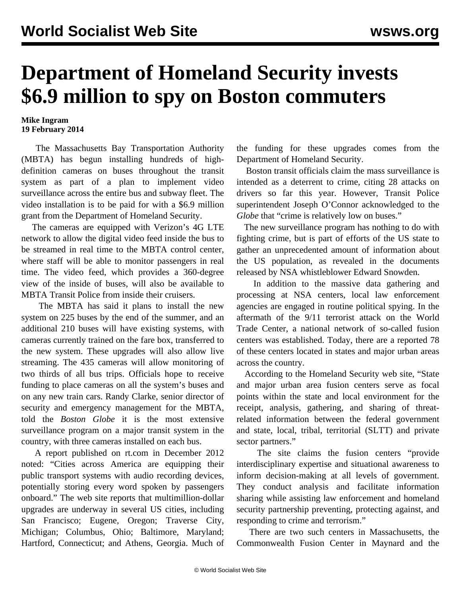## **Department of Homeland Security invests \$6.9 million to spy on Boston commuters**

## **Mike Ingram 19 February 2014**

 The Massachusetts Bay Transportation Authority (MBTA) has begun installing hundreds of highdefinition cameras on buses throughout the transit system as part of a plan to implement video surveillance across the entire bus and subway fleet. The video installation is to be paid for with a \$6.9 million grant from the Department of Homeland Security.

 The cameras are equipped with Verizon's 4G LTE network to allow the digital video feed inside the bus to be streamed in real time to the MBTA control center, where staff will be able to monitor passengers in real time. The video feed, which provides a 360-degree view of the inside of buses, will also be available to MBTA Transit Police from inside their cruisers.

 The MBTA has said it plans to install the new system on 225 buses by the end of the summer, and an additional 210 buses will have existing systems, with cameras currently trained on the fare box, transferred to the new system. These upgrades will also allow live streaming. The 435 cameras will allow monitoring of two thirds of all bus trips. Officials hope to receive funding to place cameras on all the system's buses and on any new train cars. Randy Clarke, senior director of security and emergency management for the MBTA, told the *Boston Globe* it is the most extensive surveillance program on a major transit system in the country, with three cameras installed on each bus.

 A report published on rt.com in December 2012 noted: "Cities across America are equipping their public transport systems with audio recording devices, potentially storing every word spoken by passengers onboard." The web site reports that multimillion-dollar upgrades are underway in several US cities, including San Francisco; Eugene, Oregon; Traverse City, Michigan; Columbus, Ohio; Baltimore, Maryland; Hartford, Connecticut; and Athens, Georgia. Much of the funding for these upgrades comes from the Department of Homeland Security.

 Boston transit officials claim the mass surveillance is intended as a deterrent to crime, citing 28 attacks on drivers so far this year. However, Transit Police superintendent Joseph O'Connor acknowledged to the *Globe* that "crime is relatively low on buses."

 The new surveillance program has nothing to do with fighting crime, but is part of efforts of the US state to gather an unprecedented amount of information about the US population, as revealed in the documents released by NSA whistleblower Edward Snowden.

 In addition to the massive data gathering and processing at NSA centers, local law enforcement agencies are engaged in routine political spying. In the aftermath of the 9/11 terrorist attack on the World Trade Center, a national network of so-called fusion centers was established. Today, there are a reported 78 of these centers located in states and major urban areas across the country.

 According to the Homeland Security web site, "State and major urban area fusion centers serve as focal points within the state and local environment for the receipt, analysis, gathering, and sharing of threatrelated information between the federal government and state, local, tribal, territorial (SLTT) and private sector partners."

 The site claims the fusion centers "provide interdisciplinary expertise and situational awareness to inform decision-making at all levels of government. They conduct analysis and facilitate information sharing while assisting law enforcement and homeland security partnership preventing, protecting against, and responding to crime and terrorism."

 There are two such centers in Massachusetts, the Commonwealth Fusion Center in Maynard and the